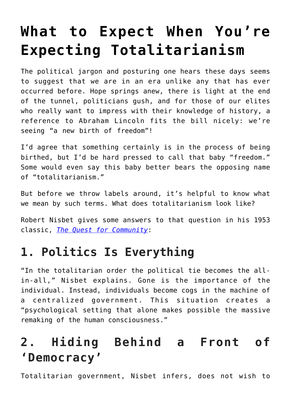# **[What to Expect When You're](https://intellectualtakeout.org/2021/01/what-to-expect-when-youre-expecting-totalitarianism/) [Expecting Totalitarianism](https://intellectualtakeout.org/2021/01/what-to-expect-when-youre-expecting-totalitarianism/)**

The political jargon and posturing one hears these days seems to suggest that we are in an era unlike any that has ever occurred before. Hope springs anew, there is light at the end of the tunnel, politicians gush, and for those of our elites who really want to impress with their knowledge of history, a reference to Abraham Lincoln fits the bill nicely: we're seeing "a new birth of freedom"!

I'd agree that something certainly is in the process of being birthed, but I'd be hard pressed to call that baby "freedom." Some would even say this baby better bears the opposing name of "totalitarianism."

But before we throw labels around, it's helpful to know what we mean by such terms. What does totalitarianism look like?

Robert Nisbet gives some answers to that question in his 1953 classic, *[The Quest for Community](https://www.amazon.com/gp/product/1935191500/ref=as_li_qf_asin_il_tl?ie=UTF8&tag=intelltakeo0d-20&creative=9325&linkCode=as2&creativeASIN=1935191500&linkId=c00ff1d1f1b1f8de3e0a39c6be1bea35)*:

## **1. Politics Is Everything**

"In the totalitarian order the political tie becomes the allin-all," Nisbet explains. Gone is the importance of the individual. Instead, individuals become cogs in the machine of a centralized government. This situation creates a "psychological setting that alone makes possible the massive remaking of the human consciousness."

# **2. Hiding Behind a Front of 'Democracy'**

Totalitarian government, Nisbet infers, does not wish to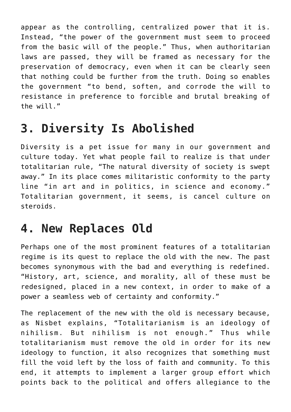appear as the controlling, centralized power that it is. Instead, "the power of the government must seem to proceed from the basic will of the people." Thus, when authoritarian laws are passed, they will be framed as necessary for the preservation of democracy, even when it can be clearly seen that nothing could be further from the truth. Doing so enables the government "to bend, soften, and corrode the will to resistance in preference to forcible and brutal breaking of the will."

## **3. Diversity Is Abolished**

Diversity is a pet issue for many in our government and culture today. Yet what people fail to realize is that under totalitarian rule, "The natural diversity of society is swept away." In its place comes militaristic conformity to the party line "in art and in politics, in science and economy." Totalitarian government, it seems, is cancel culture on steroids.

#### **4. New Replaces Old**

Perhaps one of the most prominent features of a totalitarian regime is its quest to replace the old with the new. The past becomes synonymous with the bad and everything is redefined. "History, art, science, and morality, all of these must be redesigned, placed in a new context, in order to make of a power a seamless web of certainty and conformity."

The replacement of the new with the old is necessary because, as Nisbet explains, "Totalitarianism is an ideology of nihilism. But nihilism is not enough." Thus while totalitarianism must remove the old in order for its new ideology to function, it also recognizes that something must fill the void left by the loss of faith and community. To this end, it attempts to implement a larger group effort which points back to the political and offers allegiance to the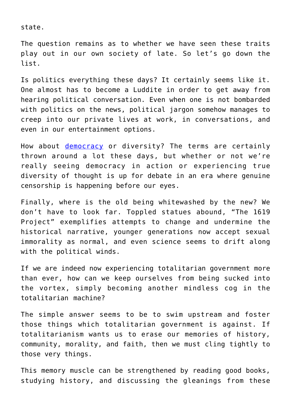state.

The question remains as to whether we have seen these traits play out in our own society of late. So let's go down the list.

Is politics everything these days? It certainly seems like it. One almost has to become a Luddite in order to get away from hearing political conversation. Even when one is not bombarded with politics on the news, political jargon somehow manages to creep into our private lives at work, in conversations, and even in our entertainment options.

How about [democracy](https://ctmirror.org/2021/01/20/joe-biden-takes-office-at-this-hour-my-friends-democracy-has-prevailed/) or diversity? The terms are certainly thrown around a lot these days, but whether or not we're really seeing democracy in action or experiencing true diversity of thought is up for debate in an era where genuine censorship is happening before our eyes.

Finally, where is the old being whitewashed by the new? We don't have to look far. Toppled statues abound, "The 1619 Project" exemplifies attempts to change and undermine the historical narrative, younger generations now accept sexual immorality as normal, and even science seems to drift along with the political winds.

If we are indeed now experiencing totalitarian government more than ever, how can we keep ourselves from being sucked into the vortex, simply becoming another mindless cog in the totalitarian machine?

The simple answer seems to be to swim upstream and foster those things which totalitarian government is against. If totalitarianism wants us to erase our memories of history, community, morality, and faith, then we must cling tightly to those very things.

This memory muscle can be strengthened by reading good books, studying history, and discussing the gleanings from these